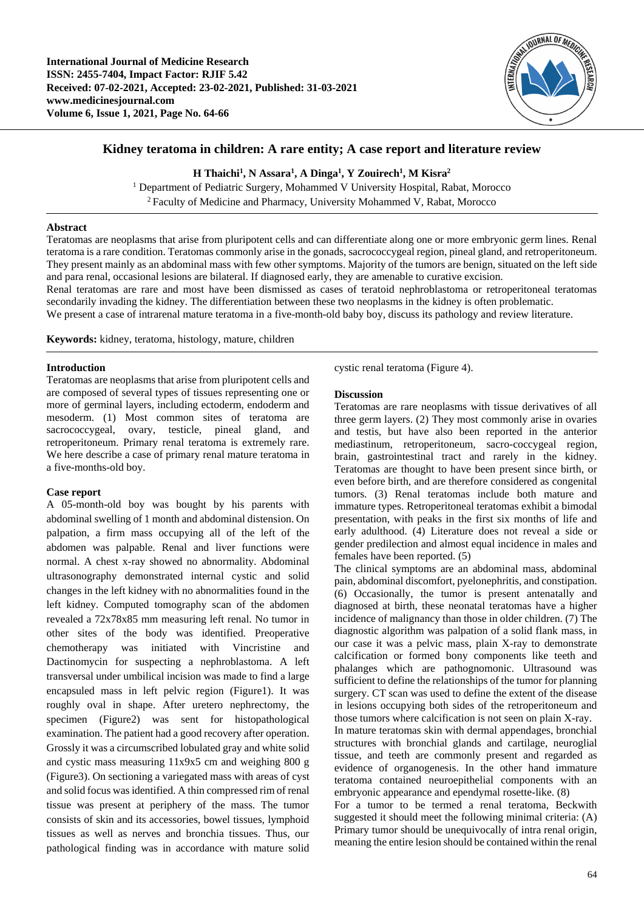

# **Kidney teratoma in children: A rare entity; A case report and literature review**

# **H Thaichi<sup>1</sup> , N Assara<sup>1</sup> , A Dinga<sup>1</sup> , Y Zouirech<sup>1</sup> , M Kisra<sup>2</sup>**

<sup>1</sup> Department of Pediatric Surgery, Mohammed V University Hospital, Rabat, Morocco <sup>2</sup>Faculty of Medicine and Pharmacy, University Mohammed V, Rabat, Morocco

## **Abstract**

Teratomas are neoplasms that arise from pluripotent cells and can differentiate along one or more embryonic germ lines. Renal teratoma is a rare condition. Teratomas commonly arise in the gonads, sacrococcygeal region, pineal gland, and retroperitoneum. They present mainly as an abdominal mass with few other symptoms. Majority of the tumors are benign, situated on the left side and para renal, occasional lesions are bilateral. If diagnosed early, they are amenable to curative excision.

Renal teratomas are rare and most have been dismissed as cases of teratoid nephroblastoma or retroperitoneal teratomas secondarily invading the kidney. The differentiation between these two neoplasms in the kidney is often problematic.

We present a case of intrarenal mature teratoma in a five-month-old baby boy, discuss its pathology and review literature.

**Keywords:** kidney, teratoma, histology, mature, children

## **Introduction**

Teratomas are neoplasms that arise from pluripotent cells and are composed of several types of tissues representing one or more of germinal layers, including ectoderm, endoderm and mesoderm. (1) Most common sites of teratoma are sacrococcygeal, ovary, testicle, pineal gland, and retroperitoneum. Primary renal teratoma is extremely rare. We here describe a case of primary renal mature teratoma in a five-months-old boy.

# **Case report**

A 05-month-old boy was bought by his parents with abdominal swelling of 1 month and abdominal distension. On palpation, a firm mass occupying all of the left of the abdomen was palpable. Renal and liver functions were normal. A chest x-ray showed no abnormality. Abdominal ultrasonography demonstrated internal cystic and solid changes in the left kidney with no abnormalities found in the left kidney. Computed tomography scan of the abdomen revealed a 72x78x85 mm measuring left renal. No tumor in other sites of the body was identified. Preoperative chemotherapy was initiated with Vincristine and Dactinomycin for suspecting a nephroblastoma. A left transversal under umbilical incision was made to find a large encapsuled mass in left pelvic region (Figure1). It was roughly oval in shape. After uretero nephrectomy, the specimen (Figure2) was sent for histopathological examination. The patient had a good recovery after operation. Grossly it was a circumscribed lobulated gray and white solid and cystic mass measuring 11x9x5 cm and weighing 800 g (Figure3). On sectioning a variegated mass with areas of cyst and solid focus was identified. A thin compressed rim of renal tissue was present at periphery of the mass. The tumor consists of skin and its accessories, bowel tissues, lymphoid tissues as well as nerves and bronchia tissues. Thus, our pathological finding was in accordance with mature solid cystic renal teratoma (Figure 4).

#### **Discussion**

Teratomas are rare neoplasms with tissue derivatives of all three germ layers. (2) They most commonly arise in ovaries and testis, but have also been reported in the anterior mediastinum, retroperitoneum, sacro-coccygeal region, brain, gastrointestinal tract and rarely in the kidney. Teratomas are thought to have been present since birth, or even before birth, and are therefore considered as congenital tumors. (3) Renal teratomas include both mature and immature types. Retroperitoneal teratomas exhibit a bimodal presentation, with peaks in the first six months of life and early adulthood. (4) Literature does not reveal a side or gender predilection and almost equal incidence in males and females have been reported. (5)

The clinical symptoms are an abdominal mass, abdominal pain, abdominal discomfort, pyelonephritis, and constipation. (6) Occasionally, the tumor is present antenatally and diagnosed at birth, these neonatal teratomas have a higher incidence of malignancy than those in older children. (7) The diagnostic algorithm was palpation of a solid flank mass, in our case it was a pelvic mass, plain X-ray to demonstrate calcification or formed bony components like teeth and phalanges which are pathognomonic. Ultrasound was sufficient to define the relationships of the tumor for planning surgery. CT scan was used to define the extent of the disease in lesions occupying both sides of the retroperitoneum and those tumors where calcification is not seen on plain X-ray. In mature teratomas skin with dermal appendages, bronchial structures with bronchial glands and cartilage, neuroglial tissue, and teeth are commonly present and regarded as evidence of organogenesis. In the other hand immature teratoma contained neuroepithelial components with an embryonic appearance and ependymal rosette-like. (8)

For a tumor to be termed a renal teratoma, Beckwith suggested it should meet the following minimal criteria: (A) Primary tumor should be unequivocally of intra renal origin, meaning the entire lesion should be contained within the renal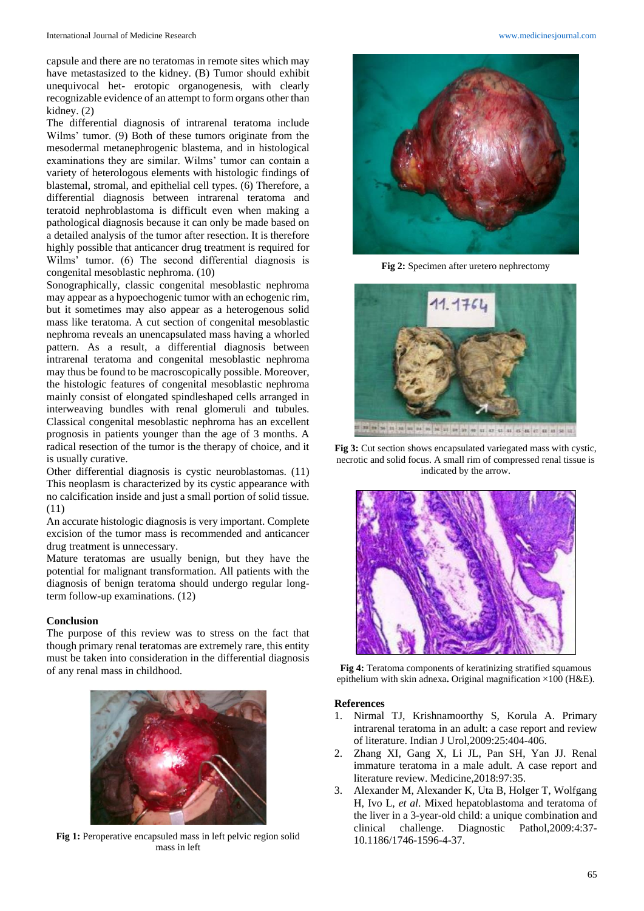capsule and there are no teratomas in remote sites which may have metastasized to the kidney. (B) Tumor should exhibit unequivocal het- erotopic organogenesis, with clearly recognizable evidence of an attempt to form organs other than kidney. (2)

The differential diagnosis of intrarenal teratoma include Wilms' tumor. (9) Both of these tumors originate from the mesodermal metanephrogenic blastema, and in histological examinations they are similar. Wilms' tumor can contain a variety of heterologous elements with histologic findings of blastemal, stromal, and epithelial cell types. (6) Therefore, a differential diagnosis between intrarenal teratoma and teratoid nephroblastoma is difficult even when making a pathological diagnosis because it can only be made based on a detailed analysis of the tumor after resection. It is therefore highly possible that anticancer drug treatment is required for Wilms' tumor. (6) The second differential diagnosis is congenital mesoblastic nephroma. (10)

Sonographically, classic congenital mesoblastic nephroma may appear as a hypoechogenic tumor with an echogenic rim, but it sometimes may also appear as a heterogenous solid mass like teratoma. A cut section of congenital mesoblastic nephroma reveals an unencapsulated mass having a whorled pattern. As a result, a differential diagnosis between intrarenal teratoma and congenital mesoblastic nephroma may thus be found to be macroscopically possible. Moreover, the histologic features of congenital mesoblastic nephroma mainly consist of elongated spindleshaped cells arranged in interweaving bundles with renal glomeruli and tubules. Classical congenital mesoblastic nephroma has an excellent prognosis in patients younger than the age of 3 months. A radical resection of the tumor is the therapy of choice, and it is usually curative.

Other differential diagnosis is cystic neuroblastomas. (11) This neoplasm is characterized by its cystic appearance with no calcification inside and just a small portion of solid tissue. (11)

An accurate histologic diagnosis is very important. Complete excision of the tumor mass is recommended and anticancer drug treatment is unnecessary.

Mature teratomas are usually benign, but they have the potential for malignant transformation. All patients with the diagnosis of benign teratoma should undergo regular longterm follow-up examinations. (12)

### **Conclusion**

The purpose of this review was to stress on the fact that though primary renal teratomas are extremely rare, this entity must be taken into consideration in the differential diagnosis of any renal mass in childhood.



**Fig 1:** Peroperative encapsuled mass in left pelvic region solid mass in left



**Fig 2:** Specimen after uretero nephrectomy



**Fig 3:** Cut section shows encapsulated variegated mass with cystic, necrotic and solid focus. A small rim of compressed renal tissue is indicated by the arrow.



**Fig 4:** Teratoma components of keratinizing stratified squamous epithelium with skin adnexa**.** Original magnification ×100 (H&E).

#### **References**

- 1. Nirmal TJ, Krishnamoorthy S, Korula A. Primary intrarenal teratoma in an adult: a case report and review of literature. Indian J Urol,2009:25:404-406.
- 2. Zhang XI, Gang X, Li JL, Pan SH, Yan JJ. Renal immature teratoma in a male adult. A case report and literature review. Medicine,2018:97:35.
- 3. Alexander M, Alexander K, Uta B, Holger T, Wolfgang H, Ivo L, *et al*. Mixed hepatoblastoma and teratoma of the liver in a 3-year-old child: a unique combination and clinical challenge. Diagnostic Pathol,2009:4:37- 10.1186/1746-1596-4-37.